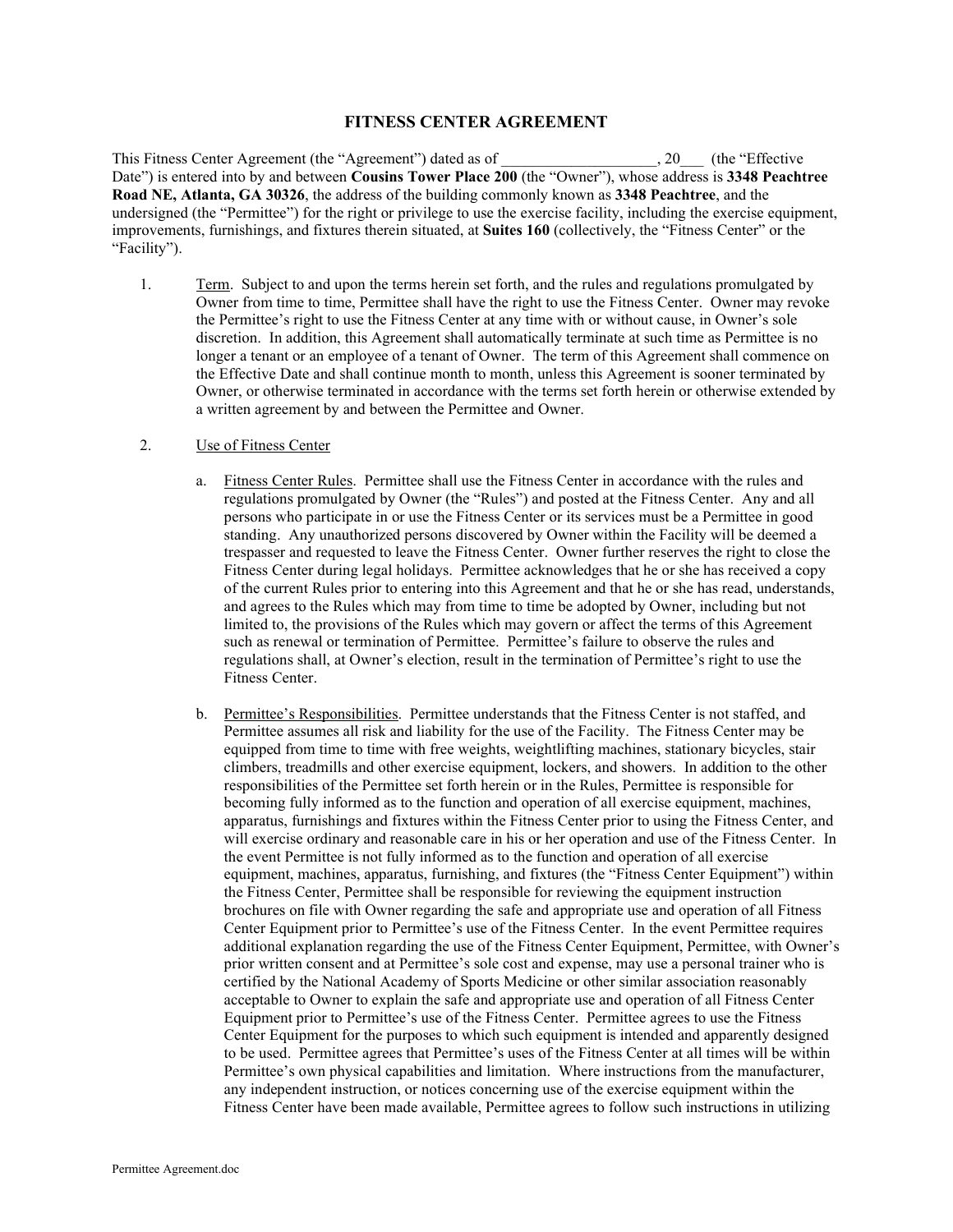## **FITNESS CENTER AGREEMENT**

This Fitness Center Agreement (the "Agreement") dated as of \_\_\_\_\_\_\_\_\_\_\_\_\_\_\_\_\_\_\_\_, 20\_\_\_ (the "Effective Date") is entered into by and between **Cousins Tower Place 200** (the "Owner"), whose address is **3348 Peachtree Road NE, Atlanta, GA 30326**, the address of the building commonly known as **3348 Peachtree**, and the undersigned (the "Permittee") for the right or privilege to use the exercise facility, including the exercise equipment, improvements, furnishings, and fixtures therein situated, at **Suites 160** (collectively, the "Fitness Center" or the "Facility").

1. Term. Subject to and upon the terms herein set forth, and the rules and regulations promulgated by Owner from time to time, Permittee shall have the right to use the Fitness Center. Owner may revoke the Permittee's right to use the Fitness Center at any time with or without cause, in Owner's sole discretion. In addition, this Agreement shall automatically terminate at such time as Permittee is no longer a tenant or an employee of a tenant of Owner. The term of this Agreement shall commence on the Effective Date and shall continue month to month, unless this Agreement is sooner terminated by Owner, or otherwise terminated in accordance with the terms set forth herein or otherwise extended by a written agreement by and between the Permittee and Owner.

## 2. Use of Fitness Center

- a. Fitness Center Rules. Permittee shall use the Fitness Center in accordance with the rules and regulations promulgated by Owner (the "Rules") and posted at the Fitness Center. Any and all persons who participate in or use the Fitness Center or its services must be a Permittee in good standing. Any unauthorized persons discovered by Owner within the Facility will be deemed a trespasser and requested to leave the Fitness Center. Owner further reserves the right to close the Fitness Center during legal holidays. Permittee acknowledges that he or she has received a copy of the current Rules prior to entering into this Agreement and that he or she has read, understands, and agrees to the Rules which may from time to time be adopted by Owner, including but not limited to, the provisions of the Rules which may govern or affect the terms of this Agreement such as renewal or termination of Permittee. Permittee's failure to observe the rules and regulations shall, at Owner's election, result in the termination of Permittee's right to use the Fitness Center.
- b. Permittee's Responsibilities. Permittee understands that the Fitness Center is not staffed, and Permittee assumes all risk and liability for the use of the Facility. The Fitness Center may be equipped from time to time with free weights, weightlifting machines, stationary bicycles, stair climbers, treadmills and other exercise equipment, lockers, and showers. In addition to the other responsibilities of the Permittee set forth herein or in the Rules, Permittee is responsible for becoming fully informed as to the function and operation of all exercise equipment, machines, apparatus, furnishings and fixtures within the Fitness Center prior to using the Fitness Center, and will exercise ordinary and reasonable care in his or her operation and use of the Fitness Center. In the event Permittee is not fully informed as to the function and operation of all exercise equipment, machines, apparatus, furnishing, and fixtures (the "Fitness Center Equipment") within the Fitness Center, Permittee shall be responsible for reviewing the equipment instruction brochures on file with Owner regarding the safe and appropriate use and operation of all Fitness Center Equipment prior to Permittee's use of the Fitness Center. In the event Permittee requires additional explanation regarding the use of the Fitness Center Equipment, Permittee, with Owner's prior written consent and at Permittee's sole cost and expense, may use a personal trainer who is certified by the National Academy of Sports Medicine or other similar association reasonably acceptable to Owner to explain the safe and appropriate use and operation of all Fitness Center Equipment prior to Permittee's use of the Fitness Center. Permittee agrees to use the Fitness Center Equipment for the purposes to which such equipment is intended and apparently designed to be used. Permittee agrees that Permittee's uses of the Fitness Center at all times will be within Permittee's own physical capabilities and limitation. Where instructions from the manufacturer, any independent instruction, or notices concerning use of the exercise equipment within the Fitness Center have been made available, Permittee agrees to follow such instructions in utilizing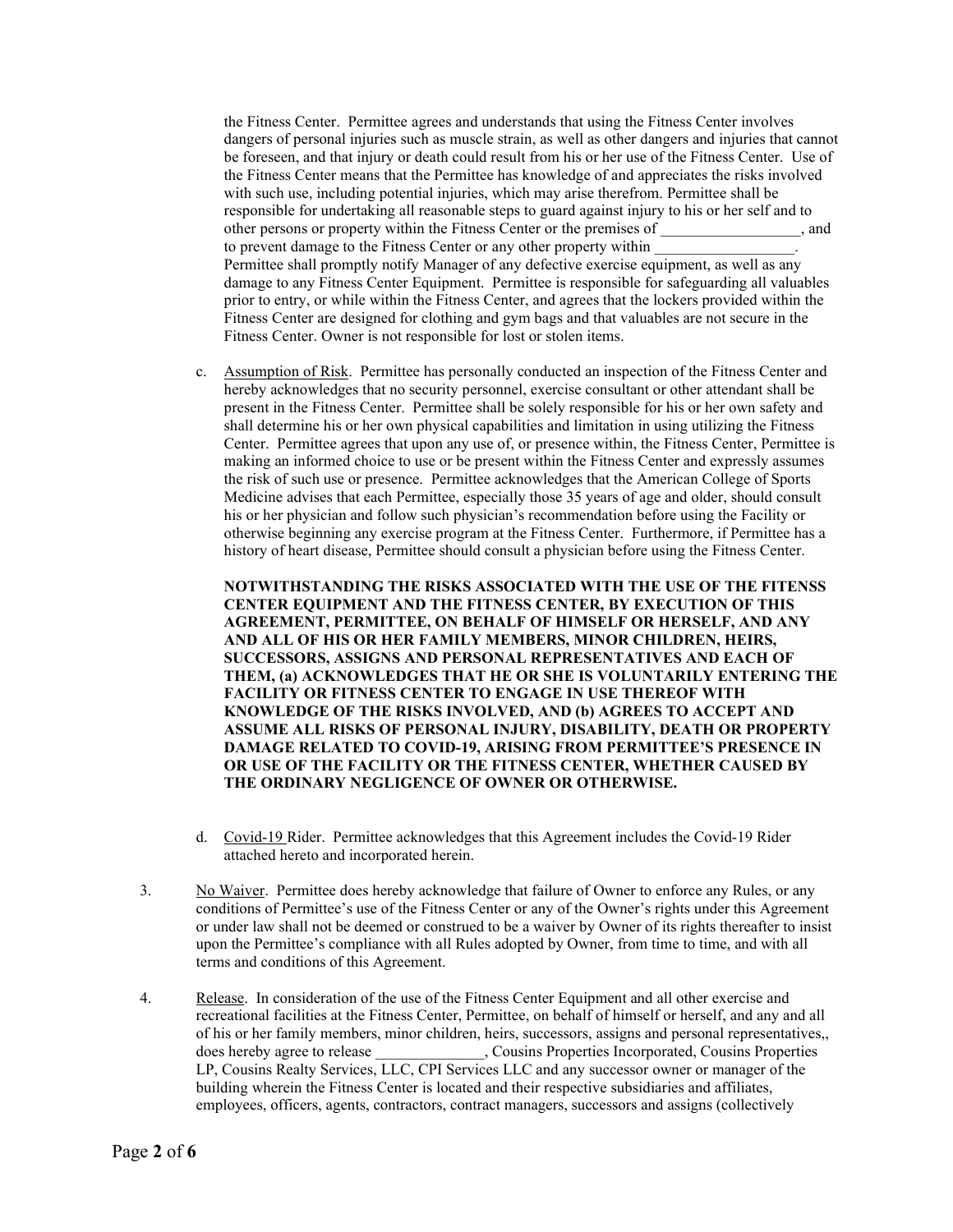the Fitness Center. Permittee agrees and understands that using the Fitness Center involves dangers of personal injuries such as muscle strain, as well as other dangers and injuries that cannot be foreseen, and that injury or death could result from his or her use of the Fitness Center. Use of the Fitness Center means that the Permittee has knowledge of and appreciates the risks involved with such use, including potential injuries, which may arise therefrom. Permittee shall be responsible for undertaking all reasonable steps to guard against injury to his or her self and to other persons or property within the Fitness Center or the premises of \_\_\_\_\_\_\_\_\_\_\_\_\_\_\_\_\_\_, and to prevent damage to the Fitness Center or any other property within Permittee shall promptly notify Manager of any defective exercise equipment, as well as any damage to any Fitness Center Equipment. Permittee is responsible for safeguarding all valuables prior to entry, or while within the Fitness Center, and agrees that the lockers provided within the Fitness Center are designed for clothing and gym bags and that valuables are not secure in the Fitness Center. Owner is not responsible for lost or stolen items.

c. Assumption of Risk. Permittee has personally conducted an inspection of the Fitness Center and hereby acknowledges that no security personnel, exercise consultant or other attendant shall be present in the Fitness Center. Permittee shall be solely responsible for his or her own safety and shall determine his or her own physical capabilities and limitation in using utilizing the Fitness Center. Permittee agrees that upon any use of, or presence within, the Fitness Center, Permittee is making an informed choice to use or be present within the Fitness Center and expressly assumes the risk of such use or presence. Permittee acknowledges that the American College of Sports Medicine advises that each Permittee, especially those 35 years of age and older, should consult his or her physician and follow such physician's recommendation before using the Facility or otherwise beginning any exercise program at the Fitness Center. Furthermore, if Permittee has a history of heart disease, Permittee should consult a physician before using the Fitness Center.

**NOTWITHSTANDING THE RISKS ASSOCIATED WITH THE USE OF THE FITENSS CENTER EQUIPMENT AND THE FITNESS CENTER, BY EXECUTION OF THIS AGREEMENT, PERMITTEE, ON BEHALF OF HIMSELF OR HERSELF, AND ANY AND ALL OF HIS OR HER FAMILY MEMBERS, MINOR CHILDREN, HEIRS, SUCCESSORS, ASSIGNS AND PERSONAL REPRESENTATIVES AND EACH OF THEM, (a) ACKNOWLEDGES THAT HE OR SHE IS VOLUNTARILY ENTERING THE FACILITY OR FITNESS CENTER TO ENGAGE IN USE THEREOF WITH KNOWLEDGE OF THE RISKS INVOLVED, AND (b) AGREES TO ACCEPT AND ASSUME ALL RISKS OF PERSONAL INJURY, DISABILITY, DEATH OR PROPERTY DAMAGE RELATED TO COVID-19, ARISING FROM PERMITTEE'S PRESENCE IN OR USE OF THE FACILITY OR THE FITNESS CENTER, WHETHER CAUSED BY THE ORDINARY NEGLIGENCE OF OWNER OR OTHERWISE.**

- d. Covid-19 Rider. Permittee acknowledges that this Agreement includes the Covid-19 Rider attached hereto and incorporated herein.
- 3. No Waiver. Permittee does hereby acknowledge that failure of Owner to enforce any Rules, or any conditions of Permittee's use of the Fitness Center or any of the Owner's rights under this Agreement or under law shall not be deemed or construed to be a waiver by Owner of its rights thereafter to insist upon the Permittee's compliance with all Rules adopted by Owner, from time to time, and with all terms and conditions of this Agreement.
- 4. Release. In consideration of the use of the Fitness Center Equipment and all other exercise and recreational facilities at the Fitness Center, Permittee, on behalf of himself or herself, and any and all of his or her family members, minor children, heirs, successors, assigns and personal representatives,, does hereby agree to release \_\_\_\_\_\_\_\_\_\_\_\_\_, Cousins Properties Incorporated, Cousins Properties LP, Cousins Realty Services, LLC, CPI Services LLC and any successor owner or manager of the building wherein the Fitness Center is located and their respective subsidiaries and affiliates, employees, officers, agents, contractors, contract managers, successors and assigns (collectively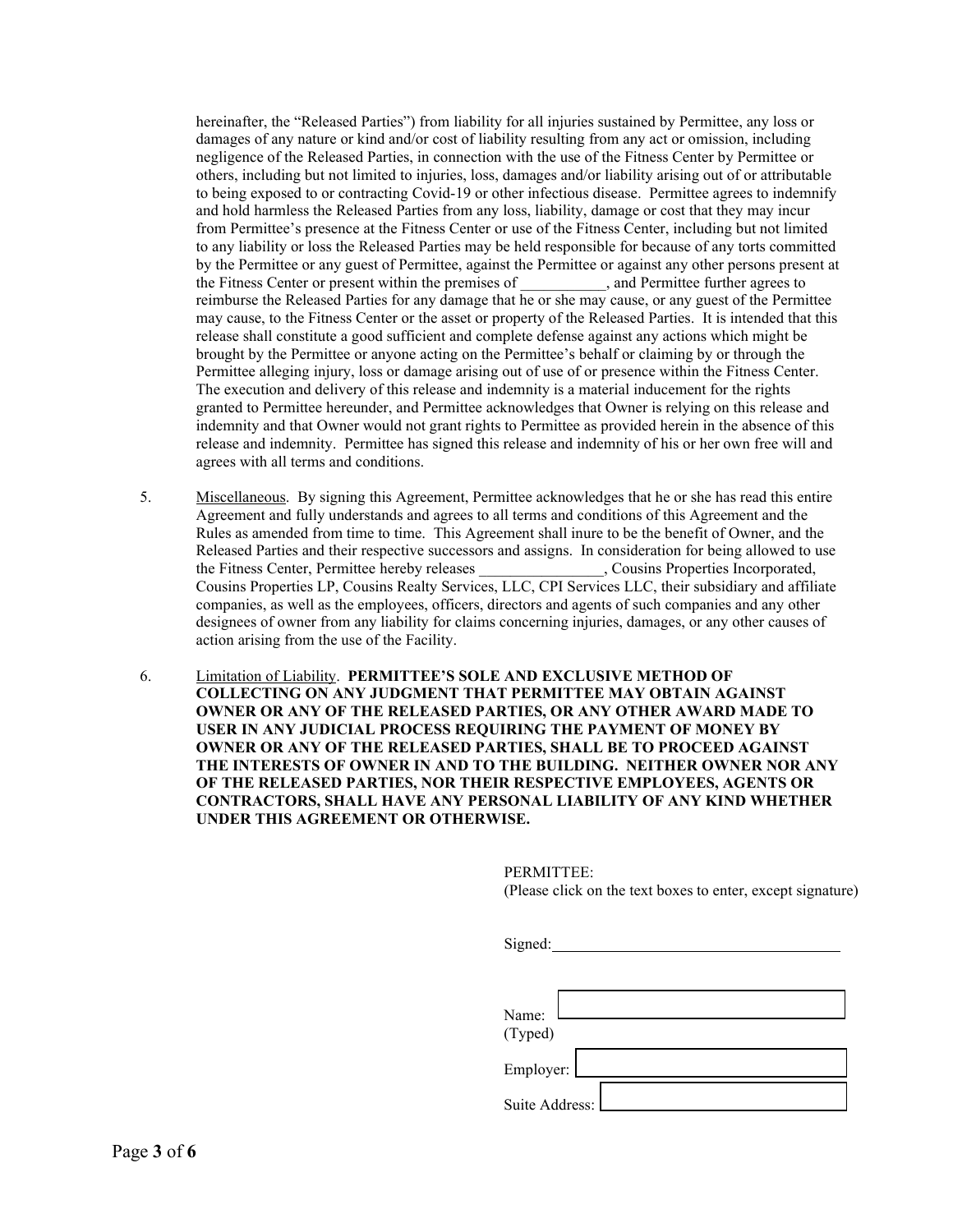hereinafter, the "Released Parties") from liability for all injuries sustained by Permittee, any loss or damages of any nature or kind and/or cost of liability resulting from any act or omission, including negligence of the Released Parties, in connection with the use of the Fitness Center by Permittee or others, including but not limited to injuries, loss, damages and/or liability arising out of or attributable to being exposed to or contracting Covid-19 or other infectious disease. Permittee agrees to indemnify and hold harmless the Released Parties from any loss, liability, damage or cost that they may incur from Permittee's presence at the Fitness Center or use of the Fitness Center, including but not limited to any liability or loss the Released Parties may be held responsible for because of any torts committed by the Permittee or any guest of Permittee, against the Permittee or against any other persons present at the Fitness Center or present within the premises of , and Permittee further agrees to reimburse the Released Parties for any damage that he or she may cause, or any guest of the Permittee may cause, to the Fitness Center or the asset or property of the Released Parties. It is intended that this release shall constitute a good sufficient and complete defense against any actions which might be brought by the Permittee or anyone acting on the Permittee's behalf or claiming by or through the Permittee alleging injury, loss or damage arising out of use of or presence within the Fitness Center. The execution and delivery of this release and indemnity is a material inducement for the rights granted to Permittee hereunder, and Permittee acknowledges that Owner is relying on this release and indemnity and that Owner would not grant rights to Permittee as provided herein in the absence of this release and indemnity. Permittee has signed this release and indemnity of his or her own free will and agrees with all terms and conditions.

- 5. Miscellaneous. By signing this Agreement, Permittee acknowledges that he or she has read this entire Agreement and fully understands and agrees to all terms and conditions of this Agreement and the Rules as amended from time to time. This Agreement shall inure to be the benefit of Owner, and the Released Parties and their respective successors and assigns. In consideration for being allowed to use the Fitness Center, Permittee hereby releases \_\_\_\_\_\_\_\_\_\_\_\_\_\_\_\_, Cousins Properties Incorporated, Cousins Properties LP, Cousins Realty Services, LLC, CPI Services LLC, their subsidiary and affiliate companies, as well as the employees, officers, directors and agents of such companies and any other designees of owner from any liability for claims concerning injuries, damages, or any other causes of action arising from the use of the Facility.
- 6. Limitation of Liability. **PERMITTEE'S SOLE AND EXCLUSIVE METHOD OF COLLECTING ON ANY JUDGMENT THAT PERMITTEE MAY OBTAIN AGAINST OWNER OR ANY OF THE RELEASED PARTIES, OR ANY OTHER AWARD MADE TO USER IN ANY JUDICIAL PROCESS REQUIRING THE PAYMENT OF MONEY BY OWNER OR ANY OF THE RELEASED PARTIES, SHALL BE TO PROCEED AGAINST THE INTERESTS OF OWNER IN AND TO THE BUILDING. NEITHER OWNER NOR ANY OF THE RELEASED PARTIES, NOR THEIR RESPECTIVE EMPLOYEES, AGENTS OR CONTRACTORS, SHALL HAVE ANY PERSONAL LIABILITY OF ANY KIND WHETHER UNDER THIS AGREEMENT OR OTHERWISE.**

PERMITTEE: (Please click on the text boxes to enter, except signature)

| Signed:        |  |
|----------------|--|
|                |  |
|                |  |
| Name:          |  |
| (Typed)        |  |
| Employer:      |  |
| Suite Address: |  |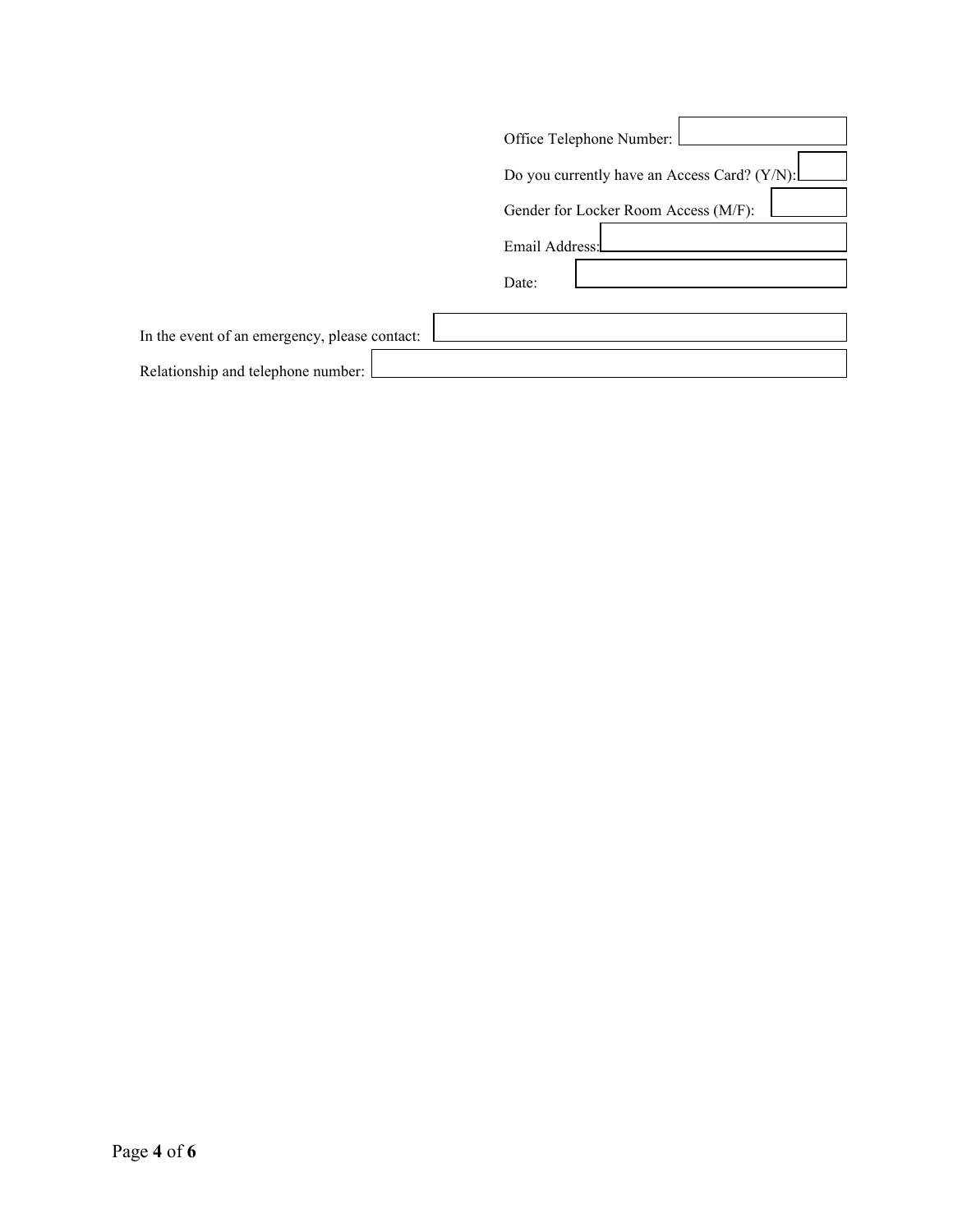|                                               | Office Telephone Number:                     |
|-----------------------------------------------|----------------------------------------------|
|                                               | Do you currently have an Access Card? (Y/N): |
|                                               | Gender for Locker Room Access (M/F):         |
|                                               | Email Address:                               |
|                                               | Date:                                        |
|                                               |                                              |
| In the event of an emergency, please contact: |                                              |
| Relationship and telephone number:            |                                              |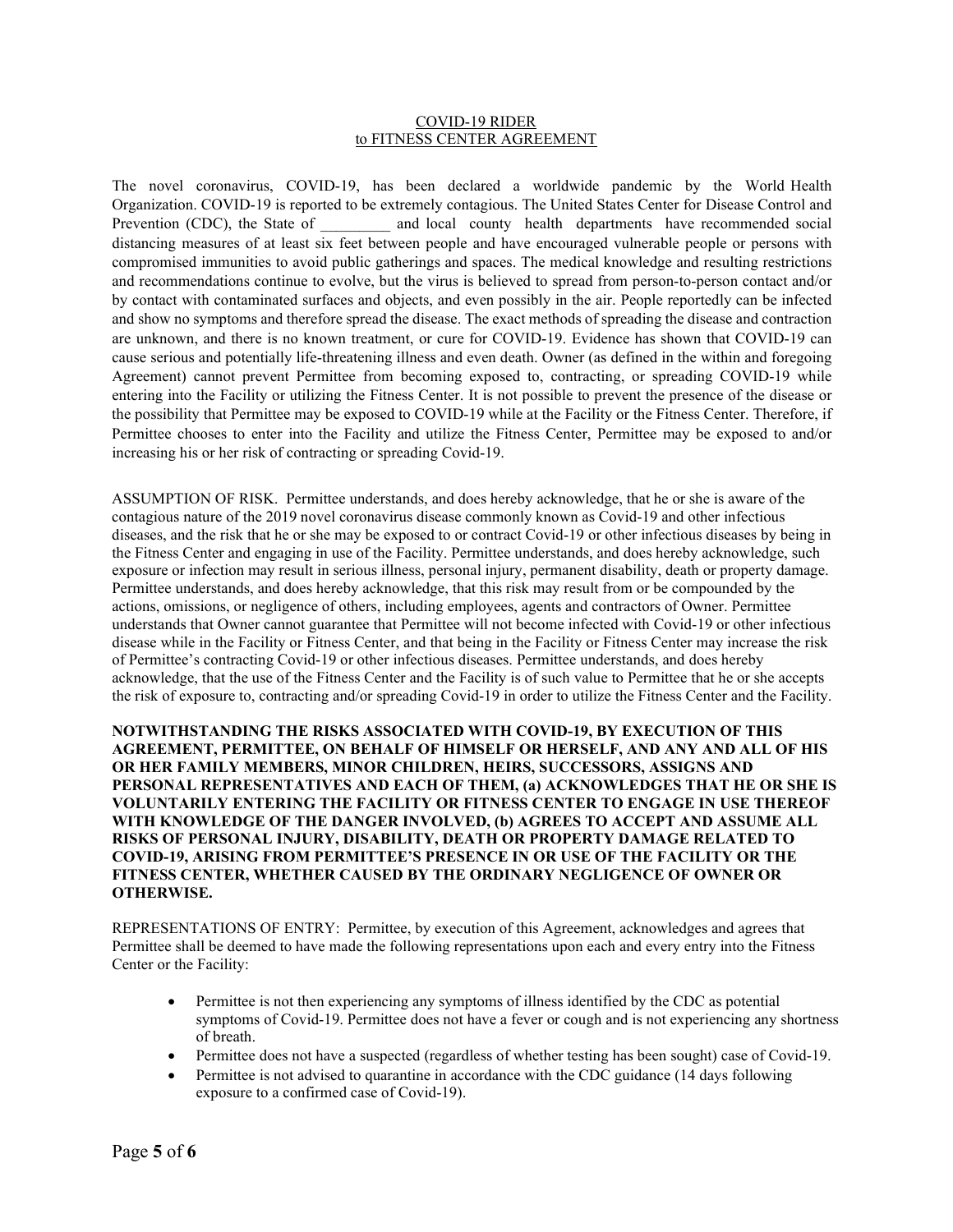## COVID-19 RIDER to FITNESS CENTER AGREEMENT

The novel coronavirus, COVID-19, has been declared a worldwide pandemic by the World Health Organization. COVID-19 is reported to be extremely contagious. The United States Center for Disease Control and Prevention (CDC), the State of and local county health departments have recommended social distancing measures of at least six feet between people and have encouraged vulnerable people or persons with compromised immunities to avoid public gatherings and spaces. The medical knowledge and resulting restrictions and recommendations continue to evolve, but the virus is believed to spread from person-to-person contact and/or by contact with contaminated surfaces and objects, and even possibly in the air. People reportedly can be infected and show no symptoms and therefore spread the disease. The exact methods of spreading the disease and contraction are unknown, and there is no known treatment, or cure for COVID-19. Evidence has shown that COVID-19 can cause serious and potentially life-threatening illness and even death. Owner (as defined in the within and foregoing Agreement) cannot prevent Permittee from becoming exposed to, contracting, or spreading COVID-19 while entering into the Facility or utilizing the Fitness Center. It is not possible to prevent the presence of the disease or the possibility that Permittee may be exposed to COVID-19 while at the Facility or the Fitness Center. Therefore, if Permittee chooses to enter into the Facility and utilize the Fitness Center, Permittee may be exposed to and/or increasing his or her risk of contracting or spreading Covid-19.

ASSUMPTION OF RISK. Permittee understands, and does hereby acknowledge, that he or she is aware of the contagious nature of the 2019 novel coronavirus disease commonly known as Covid-19 and other infectious diseases, and the risk that he or she may be exposed to or contract Covid-19 or other infectious diseases by being in the Fitness Center and engaging in use of the Facility. Permittee understands, and does hereby acknowledge, such exposure or infection may result in serious illness, personal injury, permanent disability, death or property damage. Permittee understands, and does hereby acknowledge, that this risk may result from or be compounded by the actions, omissions, or negligence of others, including employees, agents and contractors of Owner. Permittee understands that Owner cannot guarantee that Permittee will not become infected with Covid-19 or other infectious disease while in the Facility or Fitness Center, and that being in the Facility or Fitness Center may increase the risk of Permittee's contracting Covid-19 or other infectious diseases. Permittee understands, and does hereby acknowledge, that the use of the Fitness Center and the Facility is of such value to Permittee that he or she accepts the risk of exposure to, contracting and/or spreading Covid-19 in order to utilize the Fitness Center and the Facility.

**NOTWITHSTANDING THE RISKS ASSOCIATED WITH COVID-19, BY EXECUTION OF THIS AGREEMENT, PERMITTEE, ON BEHALF OF HIMSELF OR HERSELF, AND ANY AND ALL OF HIS OR HER FAMILY MEMBERS, MINOR CHILDREN, HEIRS, SUCCESSORS, ASSIGNS AND PERSONAL REPRESENTATIVES AND EACH OF THEM, (a) ACKNOWLEDGES THAT HE OR SHE IS VOLUNTARILY ENTERING THE FACILITY OR FITNESS CENTER TO ENGAGE IN USE THEREOF WITH KNOWLEDGE OF THE DANGER INVOLVED, (b) AGREES TO ACCEPT AND ASSUME ALL RISKS OF PERSONAL INJURY, DISABILITY, DEATH OR PROPERTY DAMAGE RELATED TO COVID-19, ARISING FROM PERMITTEE'S PRESENCE IN OR USE OF THE FACILITY OR THE FITNESS CENTER, WHETHER CAUSED BY THE ORDINARY NEGLIGENCE OF OWNER OR OTHERWISE.**

REPRESENTATIONS OF ENTRY: Permittee, by execution of this Agreement, acknowledges and agrees that Permittee shall be deemed to have made the following representations upon each and every entry into the Fitness Center or the Facility:

- Permittee is not then experiencing any symptoms of illness identified by the CDC as potential symptoms of Covid-19. Permittee does not have a fever or cough and is not experiencing any shortness of breath.
- Permittee does not have a suspected (regardless of whether testing has been sought) case of Covid-19.
- Permittee is not advised to quarantine in accordance with the CDC guidance (14 days following exposure to a confirmed case of Covid-19).